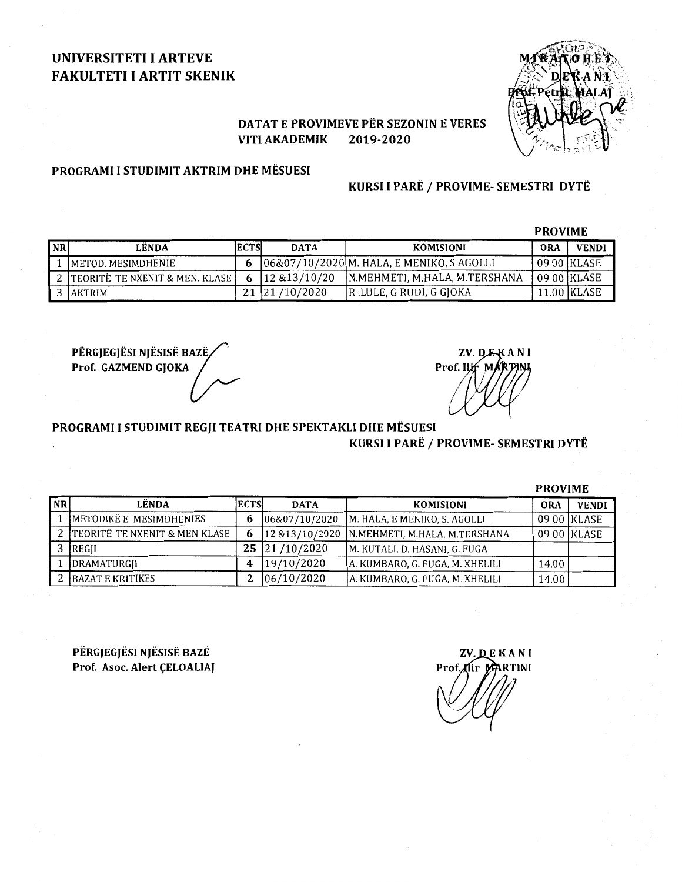# UNIVERSITETI I ARTEVE FAKULTETI I ARTIT SKENIK



## DATAT E PROVIMEVE PËR SEZONIN E VERES VITI AKADEMIK 2019-2020

## PROGRAMI I STUDIMIT AKTRIM DHE MESUESI

## KURSI I PARË / PROVIME- SEMESTRI DYTË

|           |                                    |             |               |                                            | <b>PROVIME</b> |               |
|-----------|------------------------------------|-------------|---------------|--------------------------------------------|----------------|---------------|
| <b>NR</b> | LËNDA                              | <b>ECTS</b> | <b>DATA</b>   | KOMISIONI                                  | ORA            | <b>VENDI</b>  |
|           | IMETOD. MESIMDHENIE                | 6           |               | [06&07/10/2020]M. HALA, E MENIKO, S AGOLLI |                | 09 00   KLASE |
|           | 2 TEORITË TE NXENIT & MEN. KLASE I | 6           | 12 & 13/10/20 | IN.MEHMETI. M.HALA. M.TERSHANA             |                | 09 00   KLASE |
|           | 3 JAKTRIM                          | 21          | /10/2020      | R. LULE, G RUDI, G GJOKA                   |                | 11.00 KLASE   |

PËRGJEGJËSI NJËSISË BAZË $\diagup$ Përgjegjësi njësisë bazë<br>Prof. GAZMEND GJOKA

ZV. D.E.KANI Prof. Ilif MAR

PROGRAMI I STUDIMIT REGJI TEATRI DHE SPEKTAKLI DHE MESUESI

## KURSI I PARË / PROVIME- SEMESTRI DYTË

|           |                               |      |                 |                                 | <b>PROVIME</b> |              |
|-----------|-------------------------------|------|-----------------|---------------------------------|----------------|--------------|
| <b>NR</b> | LËNDA                         | ECTS | <b>DATA</b>     | <b>KOMISIONI</b>                | <b>ORA</b>     | <b>VENDI</b> |
|           | METODIKË E MESIMDHENIES       | b    | 06&07/10/2020   | M. HALA, E MENIKO, S. AGOLLI    |                | 09 00 KLASE  |
|           | TEORITË TE NXENIT & MEN KLASE | 6    | 12 & 13/10/2020 | N.MEHMETI, M.HALA, M.TERSHANA   |                | 09 00 KLASE  |
|           | <b>IREGII</b>                 | 25   | 21/10/2020      | M. KUTALI, D. HASANI, G. FUGA   |                |              |
|           | DRAMATURGII                   | 4    | 19/10/2020      | A. KUMBARO, G. FUGA, M. XHELILI | 14.00          |              |
|           | BAZAT E KRITIKES              |      | 06/10/2020      | A. KUMBARO, G. FUGA, M. XHELILI | 14.00          |              |

PERGJEGJESI NJESISE BAZE Prof. Asoc. Alert ÇELOALIAJ

**ZV. DEKANI** Prof. flir MARTINI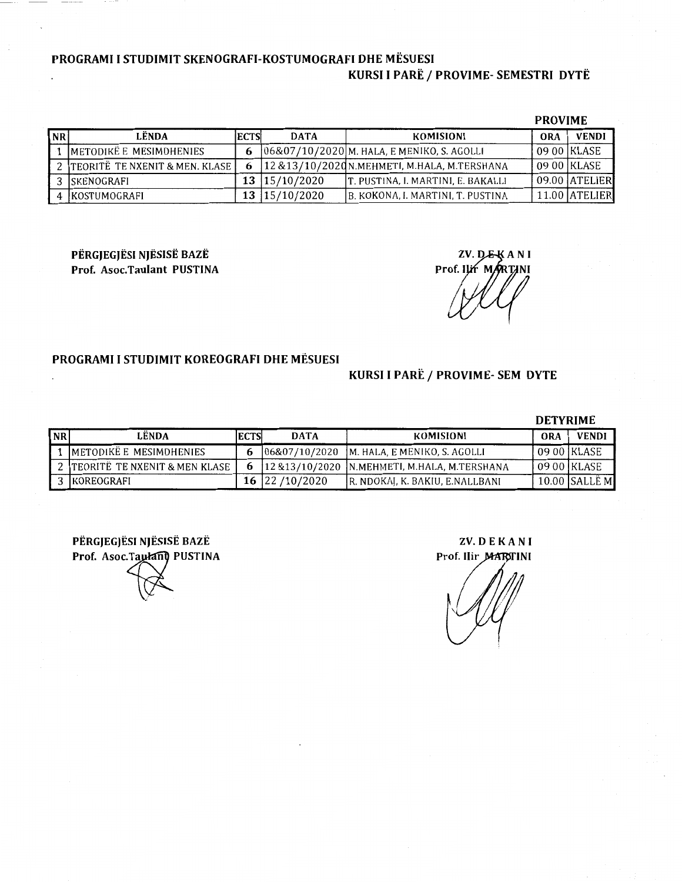## PROGRAMI I STUDIMIT SKENOGRAFI-KOSTUMOGRAFI DHE MESUESI KURSI I PARË / PROVIME- SEMESTRI DYTË

| <b>PROVIME</b> |  |
|----------------|--|
|----------------|--|

| <b>NR</b> | LËNDA                            | <b>IECTS</b> | <b>DATA</b>     | KOMISIONI                                       | <b>ORA</b> | <b>VENDI</b>  |
|-----------|----------------------------------|--------------|-----------------|-------------------------------------------------|------------|---------------|
|           | METODIKË E MESIMDHENIES          | 6            |                 | 06&07/10/2020 M. HALA, E MENIKO, S. AGOLLI      |            | 09 00 KLASE   |
|           | 2 TEORITË TE NXENIT & MEN. KLASE |              |                 | 12 & 13/10/2020N. MEHMETI, M. HALA, M. TERSHANA |            | 09 00   KLASE |
|           | 3 ISKENOGRAFI                    |              | 13   15/10/2020 | T. PUSTINA, I. MARTINI, E. BAKALLI              |            | 09.00 ATELIER |
|           | IKOSTUMOGRAFI                    |              | 13   15/10/2020 | B. KOKONA, I. MARTINI, T. PUSTINA               |            | 11.00 ATELIER |

PERGJEGJESI NJESISE BAZE Prof. Asoc.Taulant PUSTINA

ZV. DEKANI Prof. ILIT MARTINI

## PROGRAMI I STUDIMIT KOREOGRAFI DHE MESUESI

## KURSI I PARË / PROVIME- SEM DYTE

#### DETYRIME

| N <sub>R</sub> | <b>LENDA</b>                    | IECTS | <b>DATA</b>     | KOMISIONI                                     | ORA | <b>VENDI</b>  |
|----------------|---------------------------------|-------|-----------------|-----------------------------------------------|-----|---------------|
|                | METODIKË E MESIMDHENIES         | b     |                 | [06&07/10/2020   M. HALA, E MENIKO, S. AGOLLI |     | 09 00 KLASE   |
|                | 2 TEORITË TE NXENIT & MEN KLASE |       |                 | 12 & 13/10/2020 N.MEHMETI, M.HALA, M.TERSHANA |     | 09 00   KLASE |
|                | 3 IKOREOGRAFI                   |       | 16 22 / 10/2020 | R. NDOKAJ, K. BAKIU, E.NALLBANI               |     | 10.00 SALLE M |

PERGJEGJESI NJESISE BAZE Prof. Asoc. Taulant PUSTINA

ZV. DE KA N I Prof. Ilir MARITINI